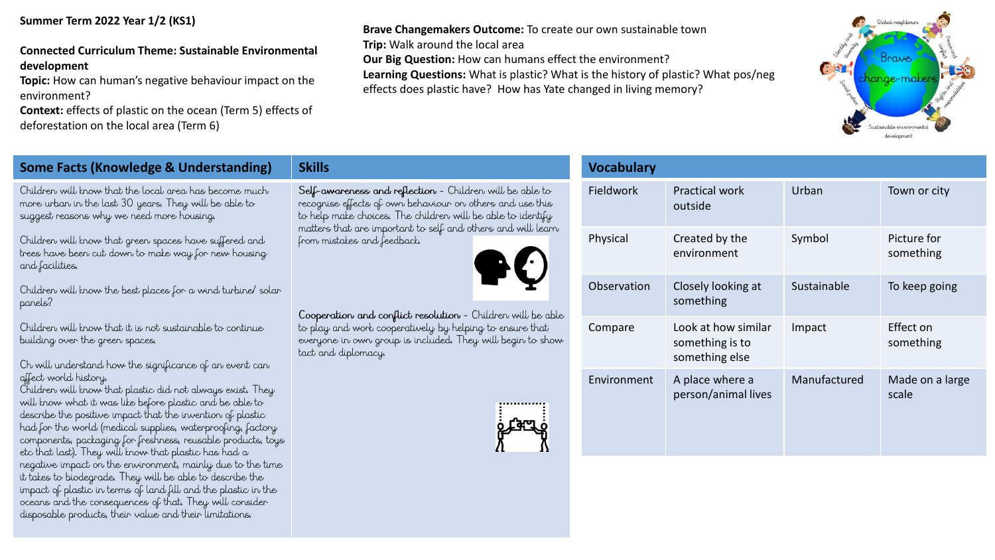#### **Summer Term 2022 Year 1/2 (KS1)**

## **Connected Curriculum Theme: Sustainable Environmental development**

**Topic:** How can human's negative behaviour impact on the environment?

**Context:** effects of plastic on the ocean (Term 5) effects of deforestation on the local area (Term 6)

### **Brave Changemakers Outcome:** To create our own sustainable town

**Trip:** Walk around the local area

**Our Big Question:** How can humans effect the environment?

**Learning Questions:** What is plastic? What is the history of plastic? What pos/neg effects does plastic have? How has Yate changed in living memory?



# **Some Facts (Knowledge & Understanding) Skills**

Children will know that the local area has become much more urban in the last 30 years. They will be able to suggest reasons why we need more housing.

Children will know that green spaces have suffered and trees have been cut down to make way for new housing and facilities.

Children will know the best places for a wind turbine/solar panels?

Children will know that it is not sustainable to continue building over the green spaces.

Ch will understand how the significance of an event can affect world history.

Children will know that plastic did not always exist. They will know what it was like before plastic and be able to describe the positive impact that the invention of plastic had for the world (medical supplies, waterproofing, factory components, packaging for freshness, reusable products, toys etc that last). They will know that plastic has had a negative impact on the environment, mainly due to the time it takes to biodegrade. They will be able to describe the impact of plastic in terms of land fill and the plastic in the oceans and the consequences of that. They will consider disposable products, their value and their limitations.

Self-awareness and reflection - Children will be able to recognise effects of own behaviour on others and use this to help make choices. The children will be able to identify matters that are important to self and others and will learn from mistakes and feedback.



Cooperation and conflict resolution - Children will be able to play and work cooperatively by helping to ensure that everyone in own group is included. They will begin to show tact and diplomacy.



### Fieldwork Practical work outside Urban Town or city Physical Created by the environment Symbol Picture for something Observation Closely looking at something Sustainable To keep going Compare Look at how similar something is to something else Impact Effect on something Environment A place where a person/animal lives Manufactured Made on a large scale

## **Vocabulary**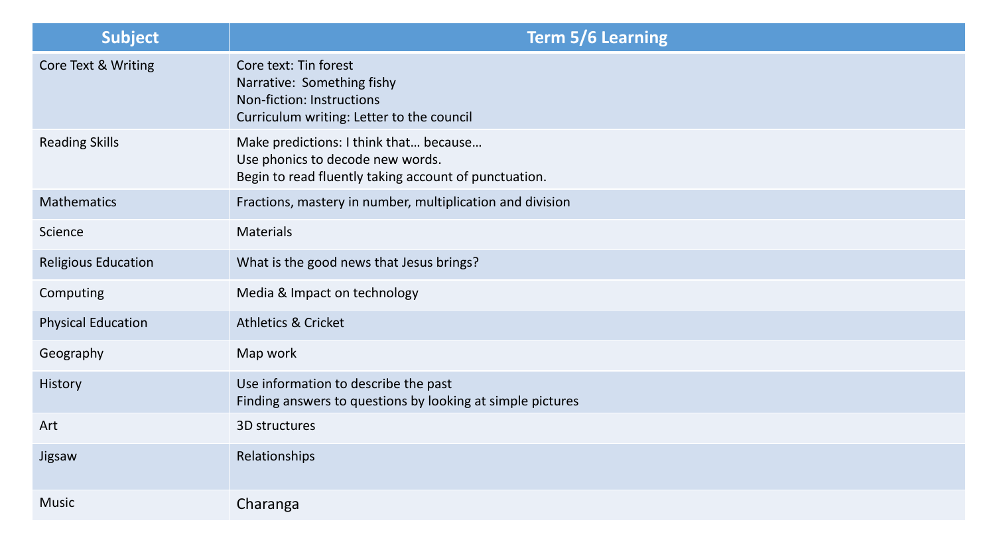| <b>Subject</b>             | <b>Term 5/6 Learning</b>                                                                                                            |
|----------------------------|-------------------------------------------------------------------------------------------------------------------------------------|
| Core Text & Writing        | Core text: Tin forest<br>Narrative: Something fishy<br>Non-fiction: Instructions<br>Curriculum writing: Letter to the council       |
| <b>Reading Skills</b>      | Make predictions: I think that because<br>Use phonics to decode new words.<br>Begin to read fluently taking account of punctuation. |
| <b>Mathematics</b>         | Fractions, mastery in number, multiplication and division                                                                           |
| Science                    | <b>Materials</b>                                                                                                                    |
| <b>Religious Education</b> | What is the good news that Jesus brings?                                                                                            |
| Computing                  | Media & Impact on technology                                                                                                        |
| <b>Physical Education</b>  | <b>Athletics &amp; Cricket</b>                                                                                                      |
| Geography                  | Map work                                                                                                                            |
| History                    | Use information to describe the past<br>Finding answers to questions by looking at simple pictures                                  |
| Art                        | 3D structures                                                                                                                       |
| Jigsaw                     | Relationships                                                                                                                       |
| <b>Music</b>               | Charanga                                                                                                                            |